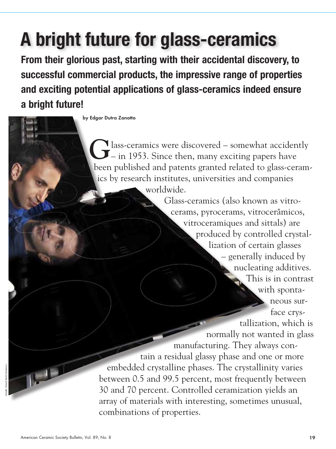**From their glorious past, starting with their accidental discovery, to successful commercial products, the impressive range of properties and exciting potential applications of glass-ceramics indeed ensure a bright future!**

by Edgar Dutra Zanotto

**l** lass-ceramics were discovered – somewhat accidently  $\mathbf{I}$  – in 1953. Since then, many exciting papers have been published and patents granted related to glass-ceramics by research institutes, universities and companies worldwide.

Glass-ceramics (also known as vitrocerams, pyrocerams, vitrocerâmicos, vitroceramiques and sittals) are produced by controlled crystallization of certain glasses – generally induced by nucleating additives. This is in contrast with spontaneous surface crystallization, which is normally not wanted in glass manufacturing. They always contain a residual glassy phase and one or more embedded crystalline phases. The crystallinity varies between 0.5 and 99.5 percent, most frequently between 30 and 70 percent. Controlled ceramization yields an array of materials with interesting, sometimes unusual, combinations of properties.

 $\mathbb{L}^{\perp}$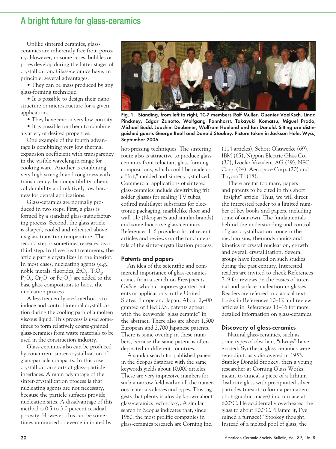Unlike sintered ceramics, glassceramics are inherently free from porosity. However, in some cases, bubbles or pores develop during the latter stages of crystallization. Glass-ceramics have, in principle, several advantages.

• They can be mass produced by any glass-forming technique.

• It is possible to design their nanostructure or microstructure for a given application.

• They have zero or very low porosity.

• It is possible for them to combine a variety of desired properties.

One example of the fourth advantage is combining very low thermal expansion coefficient with transparency in the visible wavelength range for cooking ware. Another is combining very high strength and toughness with translucency, biocompatibility, chemical durability and relatively low hardness for dental applications.

Glass-ceramics are normally produced in two steps. First, a glass is formed by a standard glass-manufacturing process. Second, the glass article is shaped, cooled and reheated above its glass transition temperature. The second step is sometimes repeated as a third step. In these heat treatments, the article partly crystallizes in the interior. In most cases, nucleating agents (e.g., noble metals, fluorides,  $ZrO_2$ ,  $TiO_2$ ,  $P_2O_5$ ,  $Cr_2O_3$  or  $Fe_2O_3$ ) are added to the base glass composition to boost the nucleation process.

A less frequently used method is to induce and control internal crystallization during the cooling path of a molten viscous liquid. This process is used sometimes to form relatively coarse-grained glass-ceramics from waste materials to be used in the construction industry.

Glass-ceramics also can be produced by concurrent sinter-crystallization of glass-particle compacts. In this case, crystallization starts at glass–particle interfaces. A main advantage of the sinter-crystallization process is that nucleating agents are not necessary, because the particle surfaces provide nucleation sites. A disadvantage of this method is 0.5 to 3.0 percent residual porosity. However, this can be sometimes minimized or even eliminated by



Fig. 1. Standing, from left to right, TC-7 members Ralf Muller, Guenter VoelKsch, Linda Pinckney, Edgar Zanotto, Wolfgang Pannhorst, Takayuki Komatsu, Miguel Prado, Michael Budd, Joachim Deubener, Wolfram Hoeland and Ian Donald. Sitting are distinguished guests George Beall and Donald Stookey. Picture taken in Jackson Hole, Wyo., September 2006.

hot-pressing techniques. The sintering route also is attractive to produce glassceramics from reluctant glass-forming compositions, which could be made as a "frit," molded and sinter-crystallized. Commercial applications of sintered glass-ceramics include devitrifying frit solder glasses for sealing TV tubes, cofired multilayer substrates for electronic packaging, marblelike floor and wall tile (Neopariés and similar brands) and some bioactive glass-ceramics. References 1–6 provide a list of recent articles and reviews on the fundamentals of the sinter-crystallization process.

#### Patents and papers

An idea of the scientific and commercial importance of glass-ceramics comes from a search on *Free-patents Online*, which comprises granted patents or applications in the United States, Europe and Japan. About 2,400 granted or filed U.S. patents appear with the keywords "glass ceramic" in the abstract. There also are about 1,500 European and 2,700 Japanese patents. There is some overlap in these numbers, because the same patent is often deposited in different countries.

A similar search for published papers in the Scopus database with the same keywords yields about 10,000 articles. These are very impressive numbers for such a narrow field within all the numerous materials classes and types. This suggests that plenty is already known about glass-ceramics technology. A similar search in Scopus indicates that, since 1960, the most prolific companies in glass-ceramics research are Corning Inc.

(114 articles), Schott Glaswerke (69), IBM (65), Nippon Electric Glass Co. (30), Ivoclar Vivadent AG (29), NEC Corp. (24), Aerospace Corp. (20) and Toyota TI (18).

There are far too many papers and patents to be cited in this short "insight" article. Thus, we will direct the interested reader to a limited number of key books and papers, including some of our own. The fundamentals behind the understanding and control of glass crystallization concern the mechanisms, thermodynamics and kinetics of crystal nucleation, growth and overall crystallization. Several groups have focused on such studies during the past century. Interested readers are invited to check References 7–9 for reviews on the basics of internal and surface nucleation in glasses. Readers are referred to classical textbooks in References 10–12 and review articles in References 13–16 for more detailed information on glass-ceramics.

#### Discovery of glass-ceramics

Natural glass-ceramics, such as some types of obsidian, "always" have existed. Synthetic glass-ceramics were serendipitously discovered in 1953. Stanley Donald Stookey, then a young researcher at Corning Glass Works, meant to anneal a piece of a lithium disilicate glass with precipitated silver particles (meant to form a permanent photographic image) in a furnace at 600°C. He accidentally overheated the glass to about 900°C. "Damm it, I've ruined a furnace!" Stookey thought. Instead of a melted pool of glass, the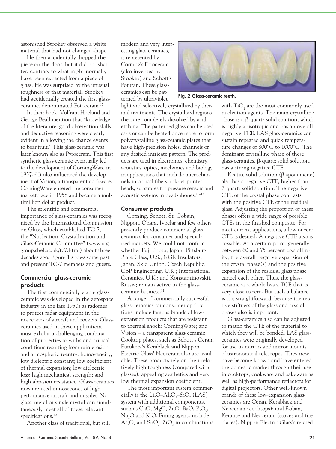astonished Stookey observed a white material that had not changed shape.

He then accidentally dropped the piece on the floor, but it did not shatter, contrary to what might normally have been expected from a piece of glass! He was surprised by the unusual toughness of that material. Stookey had accidentally created the first glassceramic, denominated Fotoceram.17

In their book, Volfram Hoeland and George Beall mention that "knowledge of the literature, good observation skills and deductive reasoning were clearly evident in allowing the chance events to bear fruit." This glass-ceramic was later known also as Pyroceram. This first synthetic glass-ceramic eventually led to the development of CorningWare in 1957.17 It also influenced the development of Vision, a transparent cookware. CorningWare entered the consumer marketplace in 1958 and became a multimillion dollar product.

The scientific and commercial importance of glass-ceramics was recognized by the International Commission on Glass, which established TC-7, the "Nucleation, Crystallization and Glass-Ceramic Committee" (www.icg. group.shef.ac.uk/tc7.html) about three decades ago. Figure 1 shows some past and present TC-7 members and guests.

## Commercial glass-ceramic products

The first commercially viable glassceramic was developed in the aerospace industry in the late 1950s as radomes to protect radar equipment in the nosecones of aircraft and rockets. Glassceramics used in these applications must exhibit a challenging combination of properties to withstand critical conditions resulting from rain erosion and atmospheric reentry: homogeneity; low dielectric constant; low coefficient of thermal expansion; low dielectric loss; high mechanical strength; and high abrasion resistance. Glass-ceramics now are used in nosecones of highperformance aircraft and missiles. No glass, metal or single crystal can simultaneously meet all of these relevant specifications.<sup>10</sup>

Another class of traditional, but still

modern and very interesting glass-ceramics, is represented by Corning's Fotoceram (also invented by Stookey) and Schott's Foturan. These glassceramics can be patterned by ultraviolet

light and selectively crystallized by thermal treatments. The crystallized regions then are completely dissolved by acid etching. The patterned glass can be used as-is or can be heated once more to form polycrystalline glass-ceramic plates that have high-precision holes, channels or any desired intricate pattern. The products are used in electronics, chemistry, acoustics, optics, mechanics and biology in applications that include microchannels in optical fibers, ink-jet printer heads, substrates for pressure sensors and acoustic systems in head-phones.10–12

#### Consumer products

Corning, Schott, St. Gobain, Nippon, Ohara, Ivoclar and few others presently produce commercial glassceramics for consumer and specialized markets. We could not confirm whether Fuji Photo, Japan; Pittsburg Plate Glass, U.S.; NGK Insulators, Japan; Sklo Union, Czech Republic; CBP Engineering, U.K.; International Ceramics, U.K.; and Konstantinovskii, Russia; remain active in the glassceramic business.11

A range of commercially successful glass-ceramics for consumer applications include famous brands of lowexpansion products that are resistant to thermal shock: CorningWare; and Vision – a transparent glass-ceramic. Cooktop plates, such as Schott's Ceran, Eurokera's Kerablack and Nippon Electric Glass' Neoceram also are available. These products rely on their relatively high toughness (compared with glasses), appealing aesthetics and very low thermal expansion coefficient.

The most important system commercially is the  $Li_2O-Al_2O_3-SiO_2$  (LAS) system with additional components, such as CaO, MgO, ZnO, BaO,  $P_2O_5$ ,  $\text{Na}_2\text{O}$  and  $\text{K}_2\text{O}$ . Fining agents include  $\text{As}_2\text{O}_5$  and  $\text{SnO}_2$ . ZrO<sub>2</sub> in combinations



Fig. 2 Glass-ceramic teeth.

with  $TiO<sub>2</sub>$  are the most commonly used nucleation agents. The main crystalline phase is a β-quartz solid solution, which is highly anisotropic and has an overall negative TCE. LAS glass-ceramics can sustain repeated and quick temperature changes of 800°C to 1000°C. The dominant crystalline phase of these glass-ceramics, β-quartz solid solution, has a strong negative CTE.

Keatite solid solution (β-spodumene) also has a negative CTE, higher than β-quartz solid solution. The negative CTE of the crystal phase contrasts with the positive CTE of the residual glass. Adjusting the proportion of these phases offers a wide range of possible CTEs in the finished composite. For most current applications, a low or zero CTE is desired. A negative CTE also is possible. At a certain point, generally between 60 and 75 percent crystallinity, the overall negative expansion of the crystal phase(s) and the positive expansion of the residual glass phase cancel each other. Thus, the glassceramic as a whole has a TCE that is very close to zero. But such a balance is not straightforward, because the relative stiffness of the glass and crystal phases also is important.

Glass-ceramics also can be adjusted to match the CTE of the material to which they will be bonded. LAS glassceramics were originally developed for use in mirrors and mirror mounts of astronomical telescopes. They now have become known and have entered the domestic market through their use in cooktops, cookware and bakeware as well as high-performance reflectors for digital projectors. Other well-known brands of these low-expansion glassceramics are Ceran, Kerablack and Neoceram (cooktops); and Robax, Keralite and Neoceram (stoves and fireplaces). Nippon Electric Glass's related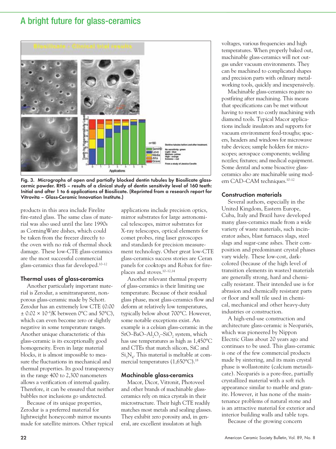

Fig. 3. Micrographs of open and partially blocked dentin tubules by Biosilicate glasscermic powder. RHS – results of a clinical study of dentin sensitivity level of 160 teeth: Initial and after 1 to 6 applications of Biosilicate. (Reprinted from a research report for Vitrovita – Glass-Ceramic Innovation Institute.)

products in this area include Firelite fire-rated glass. The same class of material was also used until the late 1990s as CorningWare dishes, which could be taken from the freezer directly to the oven with no risk of thermal shock damage. These low-CTE glass-ceramics are the most successful commercial glass-ceramics thus far developed.10–12

#### Thermal uses of glass-ceramics

Another particularly important material is Zerodur, a semitransparent, nonporous glass-ceramic made by Schott. Zerodur has an extremely low CTE (0.00  $\pm$  0.02  $\times$  10<sup>-6</sup>/K between 0°C and 50°C), which can even become zero or slightly negative in some temperature ranges. Another unique characteristic of this glass-ceramic is its exceptionally good homogeneity. Even in large material blocks, it is almost impossible to measure the fluctuations in mechanical and thermal properties. Its good transparency in the range 400 to 2,300 nanometers allows a verification of internal quality. Therefore, it can be ensured that neither bubbles nor inclusions go undetected.

Because of its unique properties, Zerodur is a preferred material for lightweight honeycomb mirror mounts made for satellite mirrors. Other typical applications include precision optics, mirror substrates for large astronomical telescopes, mirror substrates for X-ray telescopes, optical elements for comet probes, ring laser gyroscopes and standards for precision measurement technology. Other great low-CTE glass-ceramics success stories are Ceran panels for cooktops and Robax for fireplaces and stoves.10–12,14

Another relevant thermal property of glass-ceramics is their limiting use temperature. Because of their residual glass phase, most glass-ceramics flow and deform at relatively low temperatures, typically below about 700°C. However, some notable exceptions exist. An example is a celsian glass-ceramic in the SrO–BaO–Al<sub>2</sub>O<sub>3</sub>–SiO<sub>2</sub> system, which has use temperatures as high as 1,450°C and CTEs that match silicon, SiC and  $\mathrm{Si_{3}N_{4}}$ . This material is meltable at commercial temperatures (1,650°C).<sup>18</sup>

#### Machinable glass-ceramics

Macor, Dicor, Vitronit, Photoveel and other brands of machinable glassceramics rely on mica crystals in their microstructure. Their high CTE readily matches most metals and sealing glasses. They exhibit zero porosity and, in general, are excellent insulators at high

voltages, various frequencies and high temperatures. When properly baked out, machinable glass-ceramics will not outgas under vacuum environments. They can be machined to complicated shapes and precision parts with ordinary metalworking tools, quickly and inexpensively.

Machinable glass-ceramics require no postfiring after machining. This means that specifications can be met without having to resort to costly machining with diamond tools. Typical Macor applications include insulators and supports for vacuum environment feed-troughs; spacers, headers and windows for microwave tube devices; sample holders for microscopes; aerospace components; welding nozzles; fixtures; and medical equipment. Some dental and some bioactive glassceramics also are machinable using modern CAD–CAM techniques.<sup>10-12</sup>

#### Construction materials

Several authors, especially in the United Kingdom, Eastern Europe, Cuba, Italy and Brazil have developed many glass-ceramics made from a wide variety of waste materials, such incinerator ashes, blast furnaces slags, steel slags and sugar-cane ashes. Their composition and predominant crystal phases vary widely. These low-cost, darkcolored (because of the high level of transition elements in wastes) materials are generally strong, hard and chemically resistant. Their intended use is for abrasion and chemically resistant parts or floor and wall tile used in chemical, mechanical and other heavy-duty industries or construction.

A high-end-use construction and architecture glass-ceramic is Neopariés, which was pioneered by Nippon Electric Glass about 20 years ago and continues to be used. This glass-ceramic is one of the few commercial products made by sintering, and its main crystal phase is wollastonite (calcium metasilicate). Neopariés is a pore-free, partially crystallized material with a soft rich appearance similar to marble and granite. However, it has none of the maintenance problems of natural stone and is an attractive material for exterior and interior building walls and table tops.

Because of the growing concern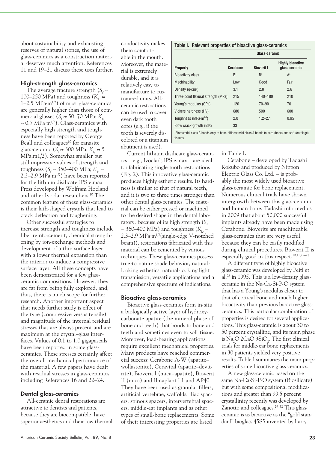about sustainability and exhausting reserves of natural stones, the use of glass-ceramics as a construction material deserves much attention. References 11 and 19–21 discuss these uses further.

#### High-strength glass-ceramics

The average fracture strength ( $S<sub>c</sub> \approx$ 100–250 MPa) and toughness ( $K_{Ic} \approx$ 1–2.5 MPa∙m1/2) of most glass-ceramics are generally higher than those of commercial glasses ( $S_f \approx 50-70$  MPa;  $K_i$ ≈ 0.7 MPa∙m1/2). Glass-ceramics with especially high strength and toughness have been reported by George Beall and colleagues<sup>10</sup> for canasite glass-ceramic ( $S_f \approx 300 \text{ MPa}; K_i \approx 5$ MPa.m1/2). Somewhat smaller but still impressive values of strength and toughness ( $S_f$  ≈ 350–400 MPa;  $K_i$  ≈ 2.3–2.9 MPa $\cdot$ m<sup>1/2</sup>) have been reported for the lithium disilicate IPS e.max Press developed by Wolfram Hoeland and other Ivoclar researchers.10 The common feature of these glass-ceramics is their lath-shaped crystals that lead to crack deflection and toughening.

Other successful strategies to increase strength and toughness include fiber reinforcement, chemical strengthening by ion-exchange methods and development of a thin surface layer with a lower thermal expansion than the interior to induce a compressive surface layer. All these concepts have been demonstrated for a few glassceramic compositions. However, they are far from being fully explored, and, thus, there is much scope for further research. Another important aspect that needs further study is effect of the type (compressive versus tensile) and magnitude of the internal residual stresses that are always present and are maximum at the crystal–glass interfaces. Values of 0.1 to 1.0 gigapascals have been reported in some glassceramics. These stresses certainly affect the overall mechanical performance of the material. A few papers have dealt with residual stresses in glass-ceramics, including References 16 and 22–24.

## Dental glass-ceramics

All-ceramic dental restorations are attractive to dentists and patients, because they are biocompatible, have superior aesthetics and their low thermal conductivity makes them comfortable in the mouth. Moreover, the material is extremely durable, and it is relatively easy to manufacture to customized units. Allceramic restorations can be used to cover even dark tooth cores (e.g., if the tooth is severely discolored or a titanium abutment is used).

Current lithium disilicate glass-ceramics – e.g., Ivoclar's IPS e.max – are ideal for fabricating single-tooth restorations (Fig. 2). This innovative glass-ceramic produces highly esthetic results. Its hardness is similar to that of natural teeth, and it is two to three times stronger than other dental glass-ceramics. The material can be either pressed or machined to the desired shape in the dental laboratory. Because of its high strength  $(S_f)$ ≈ 360–400 MPa) and toughness (*K*<sup>I</sup>*<sup>c</sup>* ≈ 2.3–2.9 MPa∙m1/2(single-edge V-notched beam)), restorations fabricated with this material can be cemented by various techniques. These glass-ceramics possess true-to-nature shade behavior, naturallooking esthetics, natural-looking light transmission, versatile applications and a comprehensive spectrum of indications.

#### Bioactive glass-ceramics

Bioactive glass-ceramics form in-situ a biologically active layer of hydroxycarbonate apatite (the mineral phase of bone and teeth) that bonds to bone and teeth and sometimes even to soft tissue. Moreover, load-bearing applications require excellent mechanical properties. Many products have reached commercial success: Cerabone A-W (apatite– wollastonite), Ceravital (apatite–devitrite), Bioverit I (mica–apatite), Bioverit II (mica) and Ilmaplant L1 and AP40. They have been used as granular fillers, artificial vertebrae, scaffolds, iliac spacers, spinous spacers, intervertebral spacers, middle-ear implants and as other types of small-bone replacements. Some of their interesting properties are listed

| <b>Property</b>                           | Glass-ceramic |                   |                                          |
|-------------------------------------------|---------------|-------------------|------------------------------------------|
|                                           | Cerabone      | <b>Bioverit I</b> | <b>Highly bioactive</b><br>glass ceramic |
| <b>Bioactivity class</b>                  | $R^{\dagger}$ | $R^{\dagger}$     | $A^{\ddagger}$                           |
| Machinability                             | Low           | Good              | Fair                                     |
| Density $(q/cm3)$                         | 3.1           | 2.8               | 2.6                                      |
| Three-point flexural strength (MPa)       | 215           | $140 - 180$       | 210                                      |
| Young's modulus (GPa)                     | 120           | $70 - 90$         | 70                                       |
| Vickers hardness (HV)                     | 680           | 500               | 600                                      |
| Toughness (MPa $\cdot$ m <sup>1/2</sup> ) | 2.0           | $1.2 - 2.1$       | 0.95                                     |
| Slow crack growth index                   | 33            |                   |                                          |

#### in Table I.

Cerabone – developed by Tadashi Kokubo and produced by Nippon Electric Glass Co. Ltd. – is probably the most widely used bioactive glass-ceramic for bone replacement. Numerous clinical trials have shown intergrowth between this glass-ceramic and human bone. Tadashi informed us in 2009 that about 50,000 successful implants already have been made using Cerabone. Bioverits are machineable glass-ceramics that are very useful, because they can be easily modified during clinical procedures. Bioverit II is especially good in this respect.<sup>10,11,25-27</sup>

A different type of highly bioactive glass-ceramic was developed by Peitl et al.28 in 1995. This is a low-density glassceramic in the Na-Ca-Si-P-O system that has a Young's modulus closer to that of cortical bone and much higher bioactivity than previous bioactive glassceramics. This particular combination of properties is desired for several applications. This glass-ceramic is about 30 to 50 percent crystalline, and its main phase is Na<sub>2</sub>O∙2CaO∙3SiO<sub>2</sub>. The first clinical trials for middle-ear bone replacements in 30 patients yielded very positive results. Table I summaries the main properties of some bioactive glass-ceramics.

A new glass-ceramic based on the same Na-Ca-Si-P-O system (Biosilicate) but with some compositional modifications and greater than 99.5 percent crystallinity recently was developed by Zanotto and colleagues.<sup>29-32</sup> This glassceramic is as bioactive as the "gold standard" bioglass 45S5 invented by Larry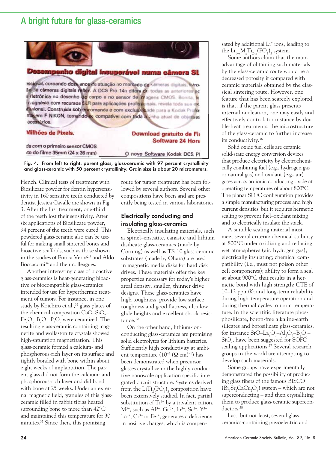



Hench. Clinical tests of treatment with Biosilicate powder for dentin hypersensitivity in 160 sensitive teeth conducted by dentist Jessica Cavalle are shown in Fig. 3. After the first treatment, one-third of the teeth lost their sensitivity. After six applications of Biosilicate powder, 94 percent of the teeth were cured. This powdered glass-ceramic also can be useful for making small sintered bones and bioactive scaffolds, such as those shown in the studies of Enrica Verné<sup>33</sup> and Aldo Boccaccini<sup>34</sup> and their colleagues.

Another interesting class of bioactive glass-ceramics is heat-generating bioactive or biocompatible glass-ceramics intended for use for hyperthermic treatment of tumors. For instance, in one study by Koichiro et al.,<sup>35</sup> glass plates of the chemical composition CaO–SiO<sub>2</sub>–  $Fe_2O_3 - B_2O_3 - P_2O_5$  were ceramized. The resulting glass-ceramic containing magnetite and wollastonite crystals showed high-saturation magnetization. This glass-ceramic formed a calcium- and phosphorous-rich layer on its surface and tightly bonded with bone within about eight weeks of implantation. The parent glass did not form the calcium- and phosphorous-rich layer and did bond with bone at 25 weeks. Under an external magnetic field, granules of this glassceramic filled in rabbit tibias heated surrounding bone to more than 42°C and maintained this temperature for 30 minutes.35 Since then, this promising

route for tumor treatment has been followed by several authors. Several other compositions have been and are presently being tested in various laboratories.

## Electrically conducting and insulating glass-ceramics

Electrically insulating materials, such as spinel–enstatite, canasite and lithium disilicate glass-ceramics (made by Corning) as well as TS-10 glass-ceramic substrates (made by Ohara) are used in magnetic media disks for hard disk drives. These materials offer the key properties necessary for today's higher areal density, smaller, thinner drive designs. These glass-ceramics have high toughness, provide low surface roughness and good flatness, ultralow glide heights and excellent shock resistance.10

On the other hand, lithium-ionconducting glass-ceramics are promising solid electrolytes for lithium batteries. Sufficiently high conductivity at ambient temperature (10<sup>-3</sup> ( $\Omega$ ⋅cm)<sup>-1</sup>) has been demonstrated when precursor glasses crystallize in the highly conductive nanoscale application specific integrated circuit structure. Systems derived from the  $LiTi<sub>2</sub>(PO<sub>4</sub>)<sub>3</sub>$  composition have been extensively studied. In fact, partial substitution of  $Ti<sup>4+</sup>$  by a trivalent cation,  $M^{3+}$ , such as  $Al^{3+}$ ,  $Ga^{3+}$ ,  $In^{3+}$ ,  $Sc^{3+}$ ,  $Y^{3+}$ ,  $La^{3+}$ ,  $Cr^{3+}$  or  $Fe^{3+}$ , generates a deficiency in positive charges, which is compensated by additional Li<sup>+</sup> ions, leading to the  $Li_{1+x}M_xTi_{2-x}(PO_4)_3$  system.

Some authors claim that the main advantage of obtaining such materials by the glass-ceramic route would be a decreased porosity if compared with ceramic materials obtained by the classical sintering route. However, one feature that has been scarcely explored, is that, if the parent glass presents internal nucleation, one may easily and effectively control, for instance by double-heat treatments, the microstructure of the glass-ceramic to further increase its conductivity.36

Solid oxide fuel cells are ceramic solid-state energy conversion devices that produce electricity by electrochemically combining fuel (e.g., hydrogen gas or natural gas) and oxidant (e.g., air) gases across an ionic conducting oxide at operating temperatures of about 800°C. The planar SOFC configuration provides a simple manufacturing process and high current densities, but it requires hermetic sealing to prevent fuel–oxidant mixing and to electrically insulate the stack.

A suitable sealing material must meet several criteria: chemical stability at 800°C under oxidizing and reducing wet atmospheres (air, hydrogen gas); electrically insulating; chemical compatibility (i.e., must not poison other cell components); ability to form a seal at about 900°C that results in a hermetic bond with high strength; CTE of 10–12 ppm/K; and long-term reliability during high-temperature operation and during thermal cycles to room temperature. In the scientific literature phosphosilicate, boron-free alkaline-earth silicates and borosilicate glass-ceramics, for instance SrO–La<sub>2</sub>O<sub>3</sub>–Al<sub>2</sub>O<sub>3</sub>–B<sub>2</sub>O<sub>3</sub>– SiO<sub>2</sub>, have been suggested for SOFC sealing applications.<sup>37</sup> Several research groups in the world are attempting to develop such materials.

Some groups have experimentally demonstrated the possibility of producing glass fibers of the famous BISCO  $\rm (Bi_2Sr_2CaCu_2O_8)$  system – which are not superconducting – and then crystallizing them to produce glass-ceramic superconductors.<sup>38</sup>

Last, but not least, several glassceramics-containing piezoelectric and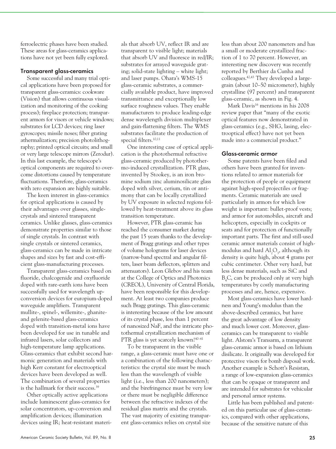ferroelectric phases have been studied. These areas for glass-ceramics applications have not yet been fully explored.

#### Transparent glass-ceramics

Some successful and many trial optical applications have been proposed for transparent glass-ceramics: cookware (Vision) that allows continuous visualization and monitoring of the cooking process); fireplace protection; transparent armors for visors or vehicle windows; substrates for LCD devices; ring laser gyroscopes; missile noses; fiber grating athermalization; precision photolithography; printed optical circuits; and small or very large telescope mirrors (Zerodur). In this last example, the telescope's optical components are required to overcome distortions caused by temperature fluctuations. Therefore, glass-ceramics with zero expansion are highly suitable.

The keen interest in glass-ceramics for optical applications is caused by their advantages over glasses, singlecrystals and sintered transparent ceramics. Unlike glasses, glass-ceramics demonstrate properties similar to those of single crystals. In contrast with single crystals or sintered ceramics, glass-ceramics can be made in intricate shapes and sizes by fast and cost-efficient glass-manufacturing processes.

Transparent glass-ceramics based on fluoride, chalcogenide and oxyfluoride doped with rare-earth ions have been successfully used for wavelength upconversion devices for europium-doped waveguide amplifiers. Transparent mullite-, spinel-, willemite-, ghaniteand gelenite-based glass-ceramics doped with transition-metal ions have been developed for use in tunable and infrared lasers, solar collectors and high-temperature lamp applications. Glass-ceramics that exhibit second harmonic generation and materials with high Kerr constant for electrooptical devices have been developed as well. The combination of several properties is the hallmark for their success.39

Other optically active applications include luminescent glass-ceramics for solar concentrators, up-conversion and amplification devices; illumination devices using IR; heat-resistant materials that absorb UV, reflect IR and are transparent to visible light; materials that absorb UV and fluoresce in red/IR; substrates for arrayed waveguide grating; solid-state lighting – white light; and laser pumps. Ohara's WMS-15 glass-ceramic substrates, a commercially available product, have improved transmittance and exceptionally low surface roughness values. They enable manufacturers to produce leading-edge dense wavelength division multiplexer and gain-flattening filters. The WMS substrates facilitate the production of special filters.<sup>10,11</sup>

One interesting case of optical application is the photothermal refractive glass-ceramic produced by photothermo-induced crystallization. PTR glass, invented by Stookey, is an iron bromine sodium zinc aluminosilicate glass doped with silver, cerium, tin or antimony that can be locally crystallized by UV exposure in selected regions followed by heat-treatment above its glass transition temperature.

However, PTR glass-ceramic has reached the consumer market during the past 15 years thanks to the development of Bragg gratings and other types of volume holograms for laser devices (narrow-band spectral and angular filters, laser beam deflectors, splitters and attenuators). Leon Glebov and his team at the College of Optics and Photonics (CREOL), University of Central Florida, have been responsible for this development. At least two companies produce such Bragg gratings. This glass-ceramic is interesting because of the low amount of its crystal phase, less than 1 percent of nanosized NaF, and the intricate photothermal crystallization mechanism of PTR glass is yet scarcely known!<sup>40–41</sup>

To be transparent in the visible range, a glass-ceramic must have one or a combination of the following characteristics: the crystal size must be much less than the wavelength of visible light (i.e., less than 200 nanometers); and the birefringence must be very low or there must be negligible difference between the refractive indexes of the residual glass matrix and the crystals. The vast majority of existing transparent glass-ceramics relies on crystal size

less than about 200 nanometers and has a small or moderate crystallized fraction of 1 to 70 percent. However, an interesting new discovery was recently reported by Berthier da Cunha and colleagues.42,43 They developed a largegrain (about 10–50 micrometer), highly crystalline (97 percent) and transparent glass-ceramic, as shown in Fig. 4.

Mark Davis<sup>16</sup> mentions in his 2008 review paper that "many of the exotic optical features now demonstrated in glass-ceramics (e.g., SHG, lasing, electrooptical effect) have not yet been made into a commercial product."

#### Glass-ceramic armor

Some patents have been filed and others have been granted for inventions related to armor materials for the protection of people or equipment against high-speed projectiles or fragments. Ceramic materials are used particularly in armors for which low weight is important: bullet-proof vests; and armor for automobiles, aircraft and helicopters, especially in cockpits or seats and for protection of functionally important parts. The first and still-used ceramic armor materials consist of highmodulus and hard  $\mathrm{Al}_2\mathrm{O}_3$ , although its density is quite high, about 4 grams per cubic centimeter. Other very hard, but less dense materials, such as SiC and B4 C, can be produced only at very high temperatures by costly manufacturing processes and are, hence, expensive.

Most glass-ceramics have lower hardness and Young's modulus than the above-described ceramics, but have the great advantage of low density and much lower cost. Moreover, glassceramics can be transparent to visible light. Alstom's Transarm, a transparent glass-ceramic armor is based on lithium disilicate. It originally was developed for protective visors for bomb disposal work. Another example is Schott's Resistan, a range of low-expansion glass-ceramics that can be opaque or transparent and are intended for substrates for vehicular and personal armor systems.

Little has been published and patented on this particular use of glass-ceramics, compared with other applications, because of the sensitive nature of this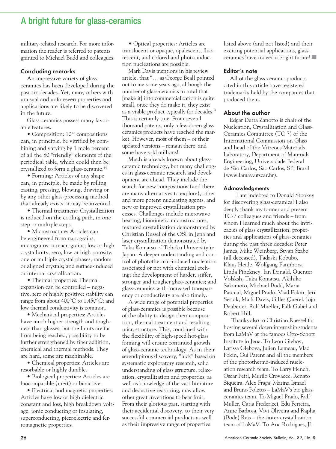military-related research. For more information the reader is referred to patents granted to Michael Budd and colleagues.

### Concluding remarks

An impressive variety of glassceramics has been developed during the past six decades. Yet, many others with unusual and unforeseen properties and applications are likely to be discovered in the future.

Glass-ceramics possess many favorable features.

• Composition:  $10^{52}$  compositions can, in principle, be vitrified by combining and varying by 1 mole percent of all the 80 "friendly" elements of the periodical table, which could then be crystallized to form a glass-ceramic.44

• Forming: Articles of any shape can, in principle, be made by rolling, casting, pressing, blowing, drawing or by any other glass-processing method that already exists or may be invented.

• Thermal treatment: Crystallization is induced on the cooling path, in one step or multiple steps.

• Microstructure: Articles can be engineered from nanograins, micrograins or macrograins; low or high crystallinity; zero, low or high porosity; one or multiple crystal phases; random or aligned crystals; and surface-induced or internal crystallization.

• Thermal properties: Thermal expansion can be controlled – negative, zero or highly positive; stability can range from about 400°C to 1,450°C; and low thermal conductivity is common.

• Mechanical properties: Articles have much higher strength and toughness than glasses, but the limits are far from being reached, possibility to be further strengthened by fiber addition, chemical and thermal methods. They are hard, some are machinable.

• Chemical properties: Articles are resorbable or highly durable.

• Biological properties: Articles are biocompatible (inert) or bioactive.

• Electrical and magnetic properties: Articles have low or high dielectric constant and loss, high breakdown voltage, ionic conducting or insulating, superconducting, piezoelectric and ferromagnetic properties.

• Optical properties: Articles are translucent or opaque, opalescent, fluorescent, and colored and photo-induction nucleations are possible.

Mark Davis mentions in his review article, that "… as George Beall pointed out to me some years ago, although the number of glass-ceramics in total that [make it] into commercialization is quite small, once they do make it, they exist as a viable product typically for decades." This is certainly true: From several thousand patents, only a few dozen glassceramics products have reached the market. However, most of them – or their updated versions – remain there, and some have sold millions!

Much is already known about glassceramic technology, but many challenges in glass-ceramic research and development are ahead. They include the search for new compositions (and there are many alternatives to explore), other and more potent nucleating agents, and new or improved crystallization processes. Challenges include microwave heating, biomimetic microstructures, textured crystallization demonstrated by Christian Russel of the OSI in Jena and laser crystallization demonstrated by Taka Komatsu of Tohoku University in Japan. A deeper understanding and control of photothermal-induced nucleation associated or not with chemical etching; the development of harder, stiffer, stronger and tougher glass-ceramics; and glass-ceramics with increased transparency or conductivity are also timely.

A wide range of potential properties of glass-ceramics is possible because of the ability to design their composition, thermal treatment and resulting microstructure. This, combined with the flexibility of high-speed hot-glass forming will ensure continued growth of glass-ceramic technology. As in their serendipitous discovery, "luck" based on systematic exploratory research, solid understanding of glass structure, relaxation, crystallization and properties, as well as knowledge of the vast literature and deductive reasoning, may allow other great inventions to bear fruit. From their glorious past, starting with their accidental discovery, to their very successful commercial products as well as their impressive range of properties

listed above (and not listed) and their exciting potential applications, glassceramics have indeed a bright future!

#### Editor's note

All of the glass-ceramic products cited in this article have registered trademarks held by the companies that produced them.

#### About the author

Edgar Dutra Zanotto is chair of the Nucleation, Crystallization and Glass-Ceramics Committee (TC 7) of the International Commission on Glass and head of the Vitreous Materials Laboratory, Department of Materials Engineering, Universidade Federal de São Carlos, São Carlos, SP, Brazil (www.lamav.ufscar.br).

#### Acknowledgments

 I am indebted to Donald Stookey for discovering glass-ceramics! I also deeply thank my former and present TC-7 colleagues and friends – from whom I learned much about the intricacies of glass crystallization, properties and applications of glass-ceramics during the past three decades: Peter James, Mike Weinberg, Stvan Szabo (all deceased), Tadaski Kobubo, Klaus Heide, Wolfgang Pannhorst, Linda Pinckney, Ian Donald, Guenter Volsksh, Taka Komatsu, Akihiko Sakamoto, Michael Budd, Maria Pascual, Miguel Prado, Vlad Fokin, Jeri Sestak, Mark Davis, Gilles Querel, Jojo Deubener, Ralf Mueller, Falk Gabel and Robert Hill.

Thanks also to Christian Ruessel for hosting several dozen internship students from LaMaV at the famous Otto-Schott Institute in Jena. To Leon Glebov, Larissa Glebova, Julien Lumeau, Vlad Fokin, Gui Parent and all the members of the photothermo-induced nucleation research team. To Larry Hench, Oscar Peitl, Murilo Crovacce, Renato Siqueira, Alex Fraga, Marina Ismael and Bruno Poletto – LaMaV's bio glassceramics team. To Miguel Prado, Ralf Muller, Catia Fredericci, Edu Ferreira, Anne Barbosa, Vivi Oliveira and Rapha (Bode) Reis – the sinter-crystallization team of LaMaV. To Ana Rodrigues, JL